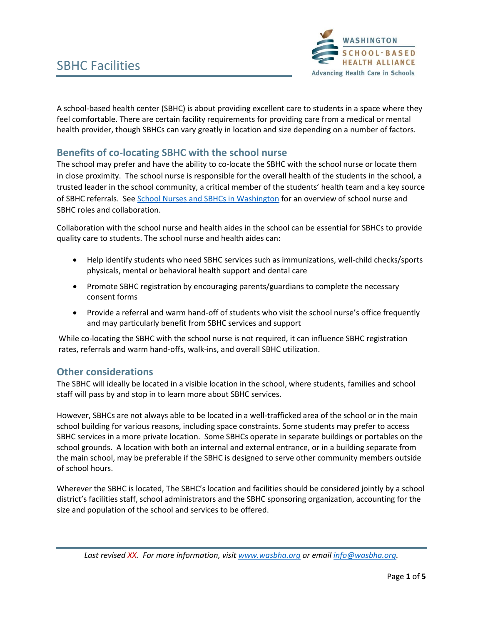

A school-based health center (SBHC) is about providing excellent care to students in a space where they feel comfortable. There are certain facility requirements for providing care from a medical or mental health provider, though SBHCs can vary greatly in location and size depending on a number of factors.

# **Benefits of co-locating SBHC with the school nurse**

The school may prefer and have the ability to co-locate the SBHC with the school nurse or locate them in close proximity. The school nurse is responsible for the overall health of the students in the school, a trusted leader in the school community, a critical member of the students' health team and a key source of SBHC referrals. See [School Nurses and SBHCs in Washington](https://wasbha.org/wp-content/uploads/2020/11/School-Nurses-and-SBHCs-WA-11.20.pdf) for an overview of school nurse and SBHC roles and collaboration.

Collaboration with the school nurse and health aides in the school can be essential for SBHCs to provide quality care to students. The school nurse and health aides can:

- Help identify students who need SBHC services such as immunizations, well-child checks/sports physicals, mental or behavioral health support and dental care
- Promote SBHC registration by encouraging parents/guardians to complete the necessary consent forms
- Provide a referral and warm hand-off of students who visit the school nurse's office frequently and may particularly benefit from SBHC services and support

While co-locating the SBHC with the school nurse is not required, it can influence SBHC registration rates, referrals and warm hand-offs, walk-ins, and overall SBHC utilization.

#### **Other considerations**

The SBHC will ideally be located in a visible location in the school, where students, families and school staff will pass by and stop in to learn more about SBHC services.

However, SBHCs are not always able to be located in a well-trafficked area of the school or in the main school building for various reasons, including space constraints. Some students may prefer to access SBHC services in a more private location. Some SBHCs operate in separate buildings or portables on the school grounds. A location with both an internal and external entrance, or in a building separate from the main school, may be preferable if the SBHC is designed to serve other community members outside of school hours.

Wherever the SBHC is located, The SBHC's location and facilities should be considered jointly by a school district's facilities staff, school administrators and the SBHC sponsoring organization, accounting for the size and population of the school and services to be offered.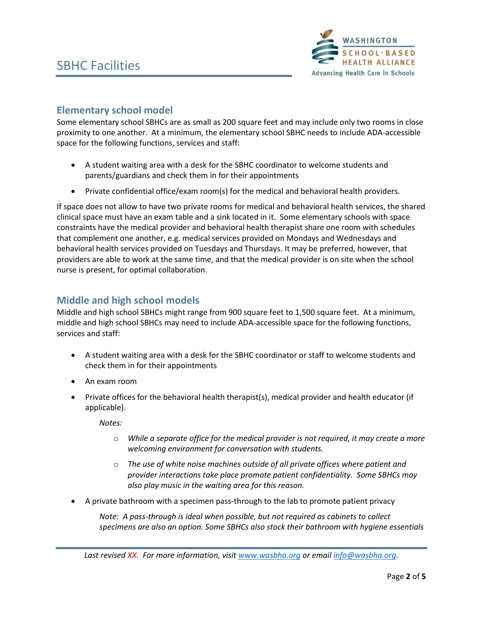

# **Elementary school model**

Some elementary school SBHCs are as small as 200 square feet and may include only two rooms in close proximity to one another. At a minimum, the elementary school SBHC needs to include ADA-accessible space for the following functions, services and staff:

- A student waiting area with a desk for the SBHC coordinator to welcome students and parents/guardians and check them in for their appointments
- Private confidential office/exam room(s) for the medical and behavioral health providers.

If space does not allow to have two private rooms for medical and behavioral health services, the shared clinical space must have an exam table and a sink located in it. Some elementary schools with space constraints have the medical provider and behavioral health therapist share one room with schedules that complement one another, e.g. medical services provided on Mondays and Wednesdays and behavioral health services provided on Tuesdays and Thursdays. It may be preferred, however, that providers are able to work at the same time, and that the medical provider is on site when the school nurse is present, for optimal collaboration.

### **Middle and high school models**

Middle and high school SBHCs might range from 900 square feet to 1,500 square feet. At a minimum, middle and high school SBHCs may need to include ADA-accessible space for the following functions, services and staff:

- A student waiting area with a desk for the SBHC coordinator or staff to welcome students and check them in for their appointments
- An exam room
- Private offices for the behavioral health therapist(s), medical provider and health educator (if applicable).

*Notes:*

- o *While a separate office for the medical provider is not required, it may create a more welcoming environment for conversation with students.*
- o *The use of white noise machines outside of all private offices where patient and provider interactions take place promote patient confidentiality. Some SBHCs may also play music in the waiting area for this reason.*
- A private bathroom with a specimen pass-through to the lab to promote patient privacy

*Note: A pass-through is ideal when possible, but not required as cabinets to collect specimens are also an option. Some SBHCs also stock their bathroom with hygiene essentials*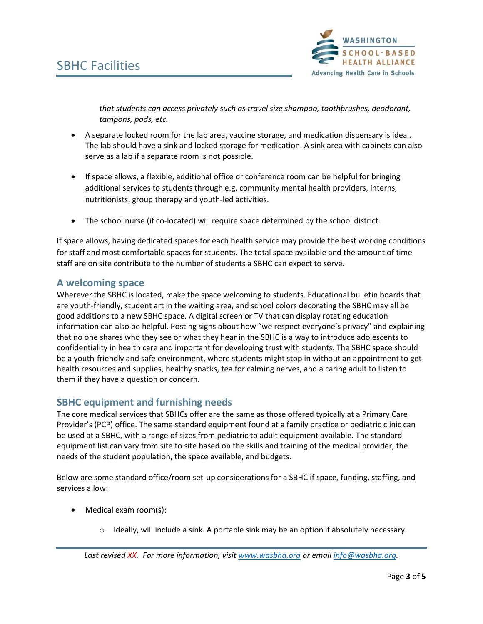

*that students can access privately such as travel size shampoo, toothbrushes, deodorant, tampons, pads, etc.* 

- A separate locked room for the lab area, vaccine storage, and medication dispensary is ideal. The lab should have a sink and locked storage for medication. A sink area with cabinets can also serve as a lab if a separate room is not possible.
- If space allows, a flexible, additional office or conference room can be helpful for bringing additional services to students through e.g. community mental health providers, interns, nutritionists, group therapy and youth-led activities.
- The school nurse (if co-located) will require space determined by the school district.

If space allows, having dedicated spaces for each health service may provide the best working conditions for staff and most comfortable spaces for students. The total space available and the amount of time staff are on site contribute to the number of students a SBHC can expect to serve.

#### **A welcoming space**

Wherever the SBHC is located, make the space welcoming to students. Educational bulletin boards that are youth-friendly, student art in the waiting area, and school colors decorating the SBHC may all be good additions to a new SBHC space. A digital screen or TV that can display rotating education information can also be helpful. Posting signs about how "we respect everyone's privacy" and explaining that no one shares who they see or what they hear in the SBHC is a way to introduce adolescents to confidentiality in health care and important for developing trust with students. The SBHC space should be a youth-friendly and safe environment, where students might stop in without an appointment to get health resources and supplies, healthy snacks, tea for calming nerves, and a caring adult to listen to them if they have a question or concern.

### **SBHC equipment and furnishing needs**

The core medical services that SBHCs offer are the same as those offered typically at a Primary Care Provider's (PCP) office. The same standard equipment found at a family practice or pediatric clinic can be used at a SBHC, with a range of sizes from pediatric to adult equipment available. The standard equipment list can vary from site to site based on the skills and training of the medical provider, the needs of the student population, the space available, and budgets.

Below are some standard office/room set-up considerations for a SBHC if space, funding, staffing, and services allow:

- Medical exam room(s):
	- $\circ$  Ideally, will include a sink. A portable sink may be an option if absolutely necessary.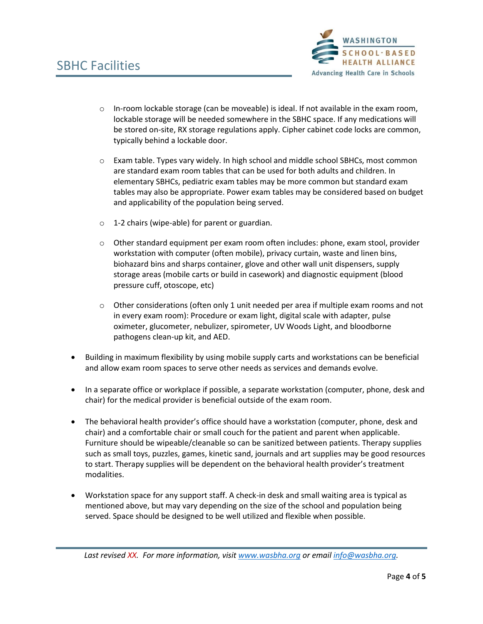

- $\circ$  In-room lockable storage (can be moveable) is ideal. If not available in the exam room, lockable storage will be needed somewhere in the SBHC space. If any medications will be stored on-site, RX storage regulations apply. Cipher cabinet code locks are common, typically behind a lockable door.
- o Exam table. Types vary widely. In high school and middle school SBHCs, most common are standard exam room tables that can be used for both adults and children. In elementary SBHCs, pediatric exam tables may be more common but standard exam tables may also be appropriate. Power exam tables may be considered based on budget and applicability of the population being served.
- o 1-2 chairs (wipe-able) for parent or guardian.
- o Other standard equipment per exam room often includes: phone, exam stool, provider workstation with computer (often mobile), privacy curtain, waste and linen bins, biohazard bins and sharps container, glove and other wall unit dispensers, supply storage areas (mobile carts or build in casework) and diagnostic equipment (blood pressure cuff, otoscope, etc)
- $\circ$  Other considerations (often only 1 unit needed per area if multiple exam rooms and not in every exam room): Procedure or exam light, digital scale with adapter, pulse oximeter, glucometer, nebulizer, spirometer, UV Woods Light, and bloodborne pathogens clean-up kit, and AED.
- Building in maximum flexibility by using mobile supply carts and workstations can be beneficial and allow exam room spaces to serve other needs as services and demands evolve.
- In a separate office or workplace if possible, a separate workstation (computer, phone, desk and chair) for the medical provider is beneficial outside of the exam room.
- The behavioral health provider's office should have a workstation (computer, phone, desk and chair) and a comfortable chair or small couch for the patient and parent when applicable. Furniture should be wipeable/cleanable so can be sanitized between patients. Therapy supplies such as small toys, puzzles, games, kinetic sand, journals and art supplies may be good resources to start. Therapy supplies will be dependent on the behavioral health provider's treatment modalities.
- Workstation space for any support staff. A check-in desk and small waiting area is typical as mentioned above, but may vary depending on the size of the school and population being served. Space should be designed to be well utilized and flexible when possible.

*Last revised XX. For more information, visit [www.wasbha.org](http://www.wasbha.org/) or emai[l info@wasbha.org.](mailto:info@wasbha.org)*